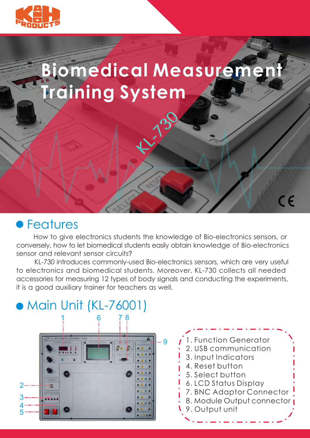

# **Biomedical Measurement Training System**

Ch<sup>130</sup>

 $\overline{\mathsf{CE}}$ 

### **• Features**

 How to give electronics students the knowledge of Bio-electronics sensors, or conversely, how to let biomedical students easily obtain knowledge of Bio-electronics sensor and relevant sensor circuits?

 KL-730 introduces commonly-used Bio-electronics sensors, which are very useful to electronics and biomedical students. Moreover, KL-730 collects all needed accessories for measuring 12 types of body signals and conducting the experiments, it is a good auxiliary trainer for teachers as well.

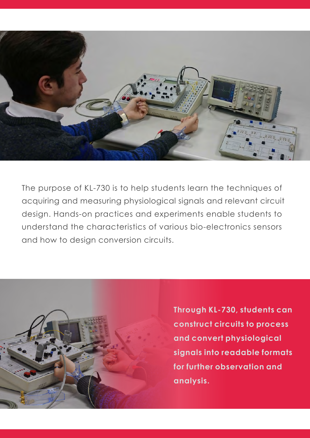

The purpose of KL-730 is to help students learn the techniques of acquiring and measuring physiological signals and relevant circuit design. Hands-on practices and experiments enable students to understand the characteristics of various bio-electronics sensors and how to design conversion circuits.



**Through KL-730, students can construct circuits to process and convert physiological signals into readable formats for further observation and analysis.**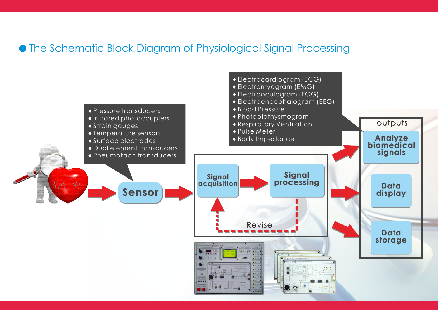### The Schematic Block Diagram of Physiological Signal Processing